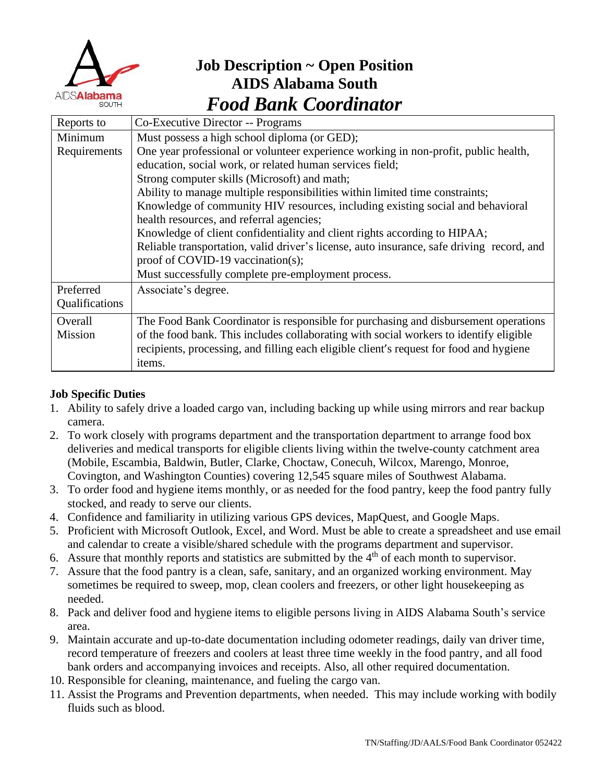

# **Job Description ~ Open Position AIDS Alabama South** *Food Bank Coordinator*

| Reports to     | Co-Executive Director -- Programs                                                         |  |  |
|----------------|-------------------------------------------------------------------------------------------|--|--|
| Minimum        | Must possess a high school diploma (or GED);                                              |  |  |
| Requirements   | One year professional or volunteer experience working in non-profit, public health,       |  |  |
|                | education, social work, or related human services field;                                  |  |  |
|                | Strong computer skills (Microsoft) and math;                                              |  |  |
|                | Ability to manage multiple responsibilities within limited time constraints;              |  |  |
|                | Knowledge of community HIV resources, including existing social and behavioral            |  |  |
|                | health resources, and referral agencies;                                                  |  |  |
|                | Knowledge of client confidentiality and client rights according to HIPAA;                 |  |  |
|                | Reliable transportation, valid driver's license, auto insurance, safe driving record, and |  |  |
|                | proof of COVID-19 vaccination(s);                                                         |  |  |
|                | Must successfully complete pre-employment process.                                        |  |  |
| Preferred      | Associate's degree.                                                                       |  |  |
| Qualifications |                                                                                           |  |  |
| Overall        | The Food Bank Coordinator is responsible for purchasing and disbursement operations       |  |  |
| Mission        | of the food bank. This includes collaborating with social workers to identify eligible    |  |  |
|                | recipients, processing, and filling each eligible client's request for food and hygiene   |  |  |
|                | items.                                                                                    |  |  |

## **Job Specific Duties**

- 1. Ability to safely drive a loaded cargo van, including backing up while using mirrors and rear backup camera.
- 2. To work closely with programs department and the transportation department to arrange food box deliveries and medical transports for eligible clients living within the twelve-county catchment area (Mobile, Escambia, Baldwin, Butler, Clarke, Choctaw, Conecuh, Wilcox, Marengo, Monroe, Covington, and Washington Counties) covering 12,545 square miles of Southwest Alabama.
- 3. To order food and hygiene items monthly, or as needed for the food pantry, keep the food pantry fully stocked, and ready to serve our clients.
- 4. Confidence and familiarity in utilizing various GPS devices, MapQuest, and Google Maps.
- 5. Proficient with Microsoft Outlook, Excel, and Word. Must be able to create a spreadsheet and use email and calendar to create a visible/shared schedule with the programs department and supervisor.
- 6. Assure that monthly reports and statistics are submitted by the  $4<sup>th</sup>$  of each month to supervisor.
- 7. Assure that the food pantry is a clean, safe, sanitary, and an organized working environment. May sometimes be required to sweep, mop, clean coolers and freezers, or other light housekeeping as needed.
- 8. Pack and deliver food and hygiene items to eligible persons living in AIDS Alabama South's service area.
- 9. Maintain accurate and up-to-date documentation including odometer readings, daily van driver time, record temperature of freezers and coolers at least three time weekly in the food pantry, and all food bank orders and accompanying invoices and receipts. Also, all other required documentation.
- 10. Responsible for cleaning, maintenance, and fueling the cargo van.
- 11. Assist the Programs and Prevention departments, when needed. This may include working with bodily fluids such as blood.